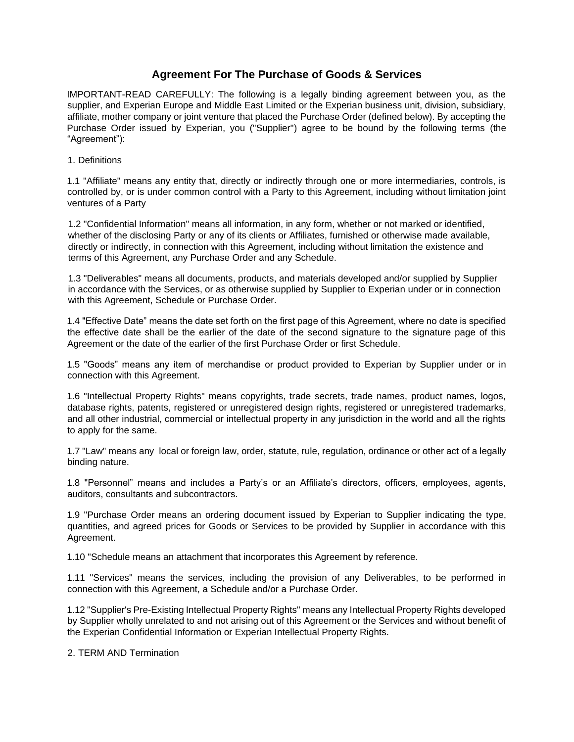# **Agreement For The Purchase of Goods & Services**

IMPORTANT-READ CAREFULLY: The following is a legally binding agreement between you, as the supplier, and Experian Europe and Middle East Limited or the Experian business unit, division, subsidiary, affiliate, mother company or joint venture that placed the Purchase Order (defined below). By accepting the Purchase Order issued by Experian, you ("Supplier") agree to be bound by the following terms (the "Agreement"):

1. Definitions

1.1 "Affiliate" means any entity that, directly or indirectly through one or more intermediaries, controls, is controlled by, or is under common control with a Party to this Agreement, including without limitation joint ventures of a Party

1.2 "Confidential Information" means all information, in any form, whether or not marked or identified, whether of the disclosing Party or any of its clients or Affiliates, furnished or otherwise made available, directly or indirectly, in connection with this Agreement, including without limitation the existence and terms of this Agreement, any Purchase Order and any Schedule.

1.3 "Deliverables" means all documents, products, and materials developed and/or supplied by Supplier in accordance with the Services, or as otherwise supplied by Supplier to Experian under or in connection with this Agreement, Schedule or Purchase Order.

1.4 "Effective Date" means the date set forth on the first page of this Agreement, where no date is specified the effective date shall be the earlier of the date of the second signature to the signature page of this Agreement or the date of the earlier of the first Purchase Order or first Schedule.

1.5 "Goods" means any item of merchandise or product provided to Experian by Supplier under or in connection with this Agreement.

1.6 "Intellectual Property Rights" means copyrights, trade secrets, trade names, product names, logos, database rights, patents, registered or unregistered design rights, registered or unregistered trademarks, and all other industrial, commercial or intellectual property in any jurisdiction in the world and all the rights to apply for the same.

1.7 "Law" means any local or foreign law, order, statute, rule, regulation, ordinance or other act of a legally binding nature.

1.8 "Personnel" means and includes a Party's or an Affiliate's directors, officers, employees, agents, auditors, consultants and subcontractors.

1.9 "Purchase Order means an ordering document issued by Experian to Supplier indicating the type, quantities, and agreed prices for Goods or Services to be provided by Supplier in accordance with this Agreement.

1.10 "Schedule means an attachment that incorporates this Agreement by reference.

1.11 "Services" means the services, including the provision of any Deliverables, to be performed in connection with this Agreement, a Schedule and/or a Purchase Order.

1.12 "Supplier's Pre-Existing Intellectual Property Rights" means any Intellectual Property Rights developed by Supplier wholly unrelated to and not arising out of this Agreement or the Services and without benefit of the Experian Confidential Information or Experian Intellectual Property Rights.

2. TERM AND Termination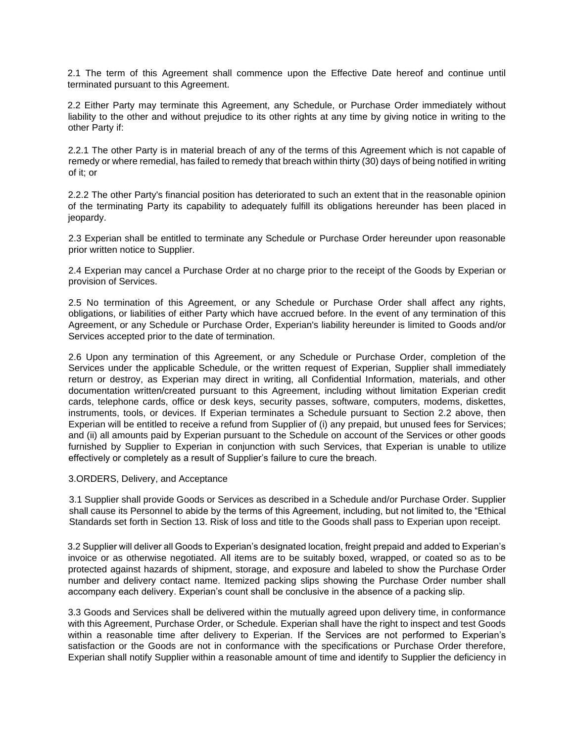2.1 The term of this Agreement shall commence upon the Effective Date hereof and continue until terminated pursuant to this Agreement.

2.2 Either Party may terminate this Agreement, any Schedule, or Purchase Order immediately without liability to the other and without prejudice to its other rights at any time by giving notice in writing to the other Party if:

2.2.1 The other Party is in material breach of any of the terms of this Agreement which is not capable of remedy or where remedial, has failed to remedy that breach within thirty (30) days of being notified in writing of it; or

2.2.2 The other Party's financial position has deteriorated to such an extent that in the reasonable opinion of the terminating Party its capability to adequately fulfill its obligations hereunder has been placed in jeopardy.

2.3 Experian shall be entitled to terminate any Schedule or Purchase Order hereunder upon reasonable prior written notice to Supplier.

2.4 Experian may cancel a Purchase Order at no charge prior to the receipt of the Goods by Experian or provision of Services.

2.5 No termination of this Agreement, or any Schedule or Purchase Order shall affect any rights, obligations, or liabilities of either Party which have accrued before. In the event of any termination of this Agreement, or any Schedule or Purchase Order, Experian's liability hereunder is limited to Goods and/or Services accepted prior to the date of termination.

2.6 Upon any termination of this Agreement, or any Schedule or Purchase Order, completion of the Services under the applicable Schedule, or the written request of Experian, Supplier shall immediately return or destroy, as Experian may direct in writing, all Confidential Information, materials, and other documentation written/created pursuant to this Agreement, including without limitation Experian credit cards, telephone cards, office or desk keys, security passes, software, computers, modems, diskettes, instruments, tools, or devices. If Experian terminates a Schedule pursuant to Section 2.2 above, then Experian will be entitled to receive a refund from Supplier of (i) any prepaid, but unused fees for Services; and (ii) all amounts paid by Experian pursuant to the Schedule on account of the Services or other goods furnished by Supplier to Experian in conjunction with such Services, that Experian is unable to utilize effectively or completely as a result of Supplier's failure to cure the breach.

#### 3.ORDERS, Delivery, and Acceptance

3.1 Supplier shall provide Goods or Services as described in a Schedule and/or Purchase Order. Supplier shall cause its Personnel to abide by the terms of this Agreement, including, but not limited to, the "Ethical Standards set forth in Section 13. Risk of loss and title to the Goods shall pass to Experian upon receipt.

3.2 Supplier will deliver all Goods to Experian's designated location, freight prepaid and added to Experian's invoice or as otherwise negotiated. All items are to be suitably boxed, wrapped, or coated so as to be protected against hazards of shipment, storage, and exposure and labeled to show the Purchase Order number and delivery contact name. Itemized packing slips showing the Purchase Order number shall accompany each delivery. Experian's count shall be conclusive in the absence of a packing slip.

3.3 Goods and Services shall be delivered within the mutually agreed upon delivery time, in conformance with this Agreement, Purchase Order, or Schedule. Experian shall have the right to inspect and test Goods within a reasonable time after delivery to Experian. If the Services are not performed to Experian's satisfaction or the Goods are not in conformance with the specifications or Purchase Order therefore, Experian shall notify Supplier within a reasonable amount of time and identify to Supplier the deficiency in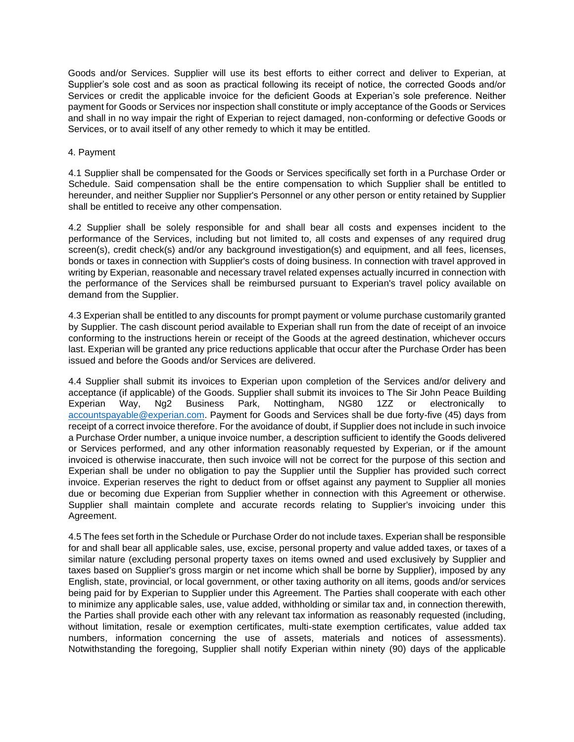Goods and/or Services. Supplier will use its best efforts to either correct and deliver to Experian, at Supplier's sole cost and as soon as practical following its receipt of notice, the corrected Goods and/or Services or credit the applicable invoice for the deficient Goods at Experian's sole preference. Neither payment for Goods or Services nor inspection shall constitute or imply acceptance of the Goods or Services and shall in no way impair the right of Experian to reject damaged, non-conforming or defective Goods or Services, or to avail itself of any other remedy to which it may be entitled.

#### 4. Payment

4.1 Supplier shall be compensated for the Goods or Services specifically set forth in a Purchase Order or Schedule. Said compensation shall be the entire compensation to which Supplier shall be entitled to hereunder, and neither Supplier nor Supplier's Personnel or any other person or entity retained by Supplier shall be entitled to receive any other compensation.

4.2 Supplier shall be solely responsible for and shall bear all costs and expenses incident to the performance of the Services, including but not limited to, all costs and expenses of any required drug screen(s), credit check(s) and/or any background investigation(s) and equipment, and all fees, licenses, bonds or taxes in connection with Supplier's costs of doing business. In connection with travel approved in writing by Experian, reasonable and necessary travel related expenses actually incurred in connection with the performance of the Services shall be reimbursed pursuant to Experian's travel policy available on demand from the Supplier.

4.3 Experian shall be entitled to any discounts for prompt payment or volume purchase customarily granted by Supplier. The cash discount period available to Experian shall run from the date of receipt of an invoice conforming to the instructions herein or receipt of the Goods at the agreed destination, whichever occurs last. Experian will be granted any price reductions applicable that occur after the Purchase Order has been issued and before the Goods and/or Services are delivered.

4.4 Supplier shall submit its invoices to Experian upon completion of the Services and/or delivery and acceptance (if applicable) of the Goods. Supplier shall submit its invoices to The Sir John Peace Building Experian Way, Ng2 Business Park, Nottingham, NG80 1ZZ or electronically to [accountspayable@experian.com.](mailto:accountspayable@experian.com) Payment for Goods and Services shall be due forty-five (45) days from receipt of a correct invoice therefore. For the avoidance of doubt, if Supplier does not include in such invoice a Purchase Order number, a unique invoice number, a description sufficient to identify the Goods delivered or Services performed, and any other information reasonably requested by Experian, or if the amount invoiced is otherwise inaccurate, then such invoice will not be correct for the purpose of this section and Experian shall be under no obligation to pay the Supplier until the Supplier has provided such correct invoice. Experian reserves the right to deduct from or offset against any payment to Supplier all monies due or becoming due Experian from Supplier whether in connection with this Agreement or otherwise. Supplier shall maintain complete and accurate records relating to Supplier's invoicing under this Agreement.

4.5 The fees set forth in the Schedule or Purchase Order do not include taxes. Experian shall be responsible for and shall bear all applicable sales, use, excise, personal property and value added taxes, or taxes of a similar nature (excluding personal property taxes on items owned and used exclusively by Supplier and taxes based on Supplier's gross margin or net income which shall be borne by Supplier), imposed by any English, state, provincial, or local government, or other taxing authority on all items, goods and/or services being paid for by Experian to Supplier under this Agreement. The Parties shall cooperate with each other to minimize any applicable sales, use, value added, withholding or similar tax and, in connection therewith, the Parties shall provide each other with any relevant tax information as reasonably requested (including, without limitation, resale or exemption certificates, multi-state exemption certificates, value added tax numbers, information concerning the use of assets, materials and notices of assessments). Notwithstanding the foregoing, Supplier shall notify Experian within ninety (90) days of the applicable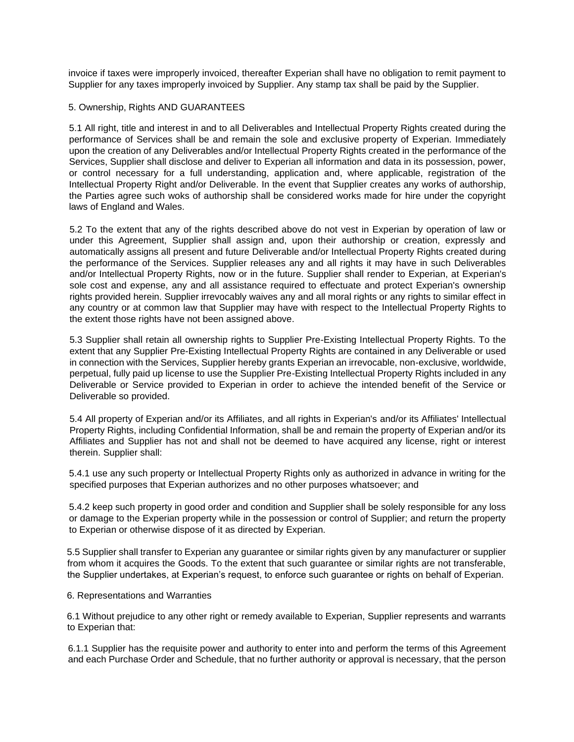invoice if taxes were improperly invoiced, thereafter Experian shall have no obligation to remit payment to Supplier for any taxes improperly invoiced by Supplier. Any stamp tax shall be paid by the Supplier.

### 5. Ownership, Rights AND GUARANTEES

5.1 All right, title and interest in and to all Deliverables and Intellectual Property Rights created during the performance of Services shall be and remain the sole and exclusive property of Experian. Immediately upon the creation of any Deliverables and/or Intellectual Property Rights created in the performance of the Services, Supplier shall disclose and deliver to Experian all information and data in its possession, power, or control necessary for a full understanding, application and, where applicable, registration of the Intellectual Property Right and/or Deliverable. In the event that Supplier creates any works of authorship, the Parties agree such woks of authorship shall be considered works made for hire under the copyright laws of England and Wales.

5.2 To the extent that any of the rights described above do not vest in Experian by operation of law or under this Agreement, Supplier shall assign and, upon their authorship or creation, expressly and automatically assigns all present and future Deliverable and/or Intellectual Property Rights created during the performance of the Services. Supplier releases any and all rights it may have in such Deliverables and/or Intellectual Property Rights, now or in the future. Supplier shall render to Experian, at Experian's sole cost and expense, any and all assistance required to effectuate and protect Experian's ownership rights provided herein. Supplier irrevocably waives any and all moral rights or any rights to similar effect in any country or at common law that Supplier may have with respect to the Intellectual Property Rights to the extent those rights have not been assigned above.

5.3 Supplier shall retain all ownership rights to Supplier Pre-Existing Intellectual Property Rights. To the extent that any Supplier Pre-Existing Intellectual Property Rights are contained in any Deliverable or used in connection with the Services, Supplier hereby grants Experian an irrevocable, non-exclusive, worldwide, perpetual, fully paid up license to use the Supplier Pre-Existing Intellectual Property Rights included in any Deliverable or Service provided to Experian in order to achieve the intended benefit of the Service or Deliverable so provided.

5.4 All property of Experian and/or its Affiliates, and all rights in Experian's and/or its Affiliates' Intellectual Property Rights, including Confidential Information, shall be and remain the property of Experian and/or its Affiliates and Supplier has not and shall not be deemed to have acquired any license, right or interest therein. Supplier shall:

5.4.1 use any such property or Intellectual Property Rights only as authorized in advance in writing for the specified purposes that Experian authorizes and no other purposes whatsoever; and

5.4.2 keep such property in good order and condition and Supplier shall be solely responsible for any loss or damage to the Experian property while in the possession or control of Supplier; and return the property to Experian or otherwise dispose of it as directed by Experian.

5.5 Supplier shall transfer to Experian any guarantee or similar rights given by any manufacturer or supplier from whom it acquires the Goods. To the extent that such guarantee or similar rights are not transferable, the Supplier undertakes, at Experian's request, to enforce such guarantee or rights on behalf of Experian.

#### 6. Representations and Warranties

6.1 Without prejudice to any other right or remedy available to Experian, Supplier represents and warrants to Experian that:

6.1.1 Supplier has the requisite power and authority to enter into and perform the terms of this Agreement and each Purchase Order and Schedule, that no further authority or approval is necessary, that the person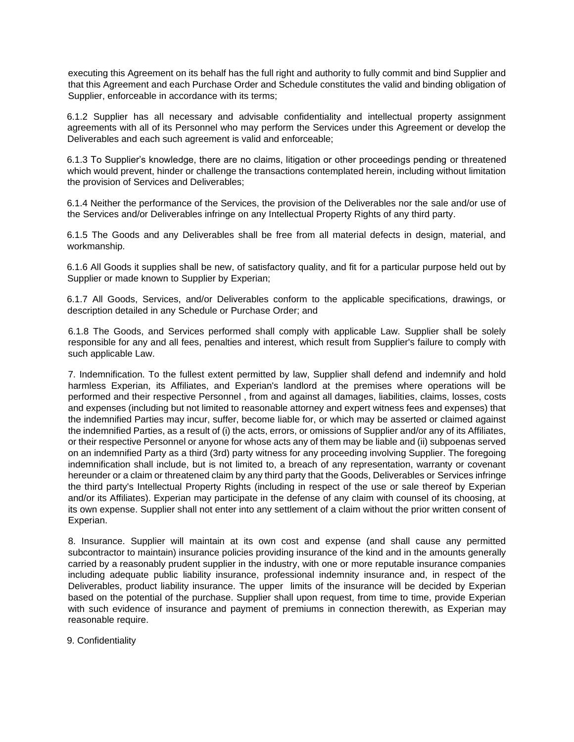executing this Agreement on its behalf has the full right and authority to fully commit and bind Supplier and that this Agreement and each Purchase Order and Schedule constitutes the valid and binding obligation of Supplier, enforceable in accordance with its terms;

6.1.2 Supplier has all necessary and advisable confidentiality and intellectual property assignment agreements with all of its Personnel who may perform the Services under this Agreement or develop the Deliverables and each such agreement is valid and enforceable;

6.1.3 To Supplier's knowledge, there are no claims, litigation or other proceedings pending or threatened which would prevent, hinder or challenge the transactions contemplated herein, including without limitation the provision of Services and Deliverables;

6.1.4 Neither the performance of the Services, the provision of the Deliverables nor the sale and/or use of the Services and/or Deliverables infringe on any Intellectual Property Rights of any third party.

6.1.5 The Goods and any Deliverables shall be free from all material defects in design, material, and workmanship.

6.1.6 All Goods it supplies shall be new, of satisfactory quality, and fit for a particular purpose held out by Supplier or made known to Supplier by Experian;

6.1.7 All Goods, Services, and/or Deliverables conform to the applicable specifications, drawings, or description detailed in any Schedule or Purchase Order; and

6.1.8 The Goods, and Services performed shall comply with applicable Law. Supplier shall be solely responsible for any and all fees, penalties and interest, which result from Supplier's failure to comply with such applicable Law.

7. Indemnification. To the fullest extent permitted by law, Supplier shall defend and indemnify and hold harmless Experian, its Affiliates, and Experian's landlord at the premises where operations will be performed and their respective Personnel , from and against all damages, liabilities, claims, losses, costs and expenses (including but not limited to reasonable attorney and expert witness fees and expenses) that the indemnified Parties may incur, suffer, become liable for, or which may be asserted or claimed against the indemnified Parties, as a result of (i) the acts, errors, or omissions of Supplier and/or any of its Affiliates, or their respective Personnel or anyone for whose acts any of them may be liable and (ii) subpoenas served on an indemnified Party as a third (3rd) party witness for any proceeding involving Supplier. The foregoing indemnification shall include, but is not limited to, a breach of any representation, warranty or covenant hereunder or a claim or threatened claim by any third party that the Goods, Deliverables or Services infringe the third party's Intellectual Property Rights (including in respect of the use or sale thereof by Experian and/or its Affiliates). Experian may participate in the defense of any claim with counsel of its choosing, at its own expense. Supplier shall not enter into any settlement of a claim without the prior written consent of Experian.

8. Insurance. Supplier will maintain at its own cost and expense (and shall cause any permitted subcontractor to maintain) insurance policies providing insurance of the kind and in the amounts generally carried by a reasonably prudent supplier in the industry, with one or more reputable insurance companies including adequate public liability insurance, professional indemnity insurance and, in respect of the Deliverables, product liability insurance. The upper limits of the insurance will be decided by Experian based on the potential of the purchase. Supplier shall upon request, from time to time, provide Experian with such evidence of insurance and payment of premiums in connection therewith, as Experian may reasonable require.

9. Confidentiality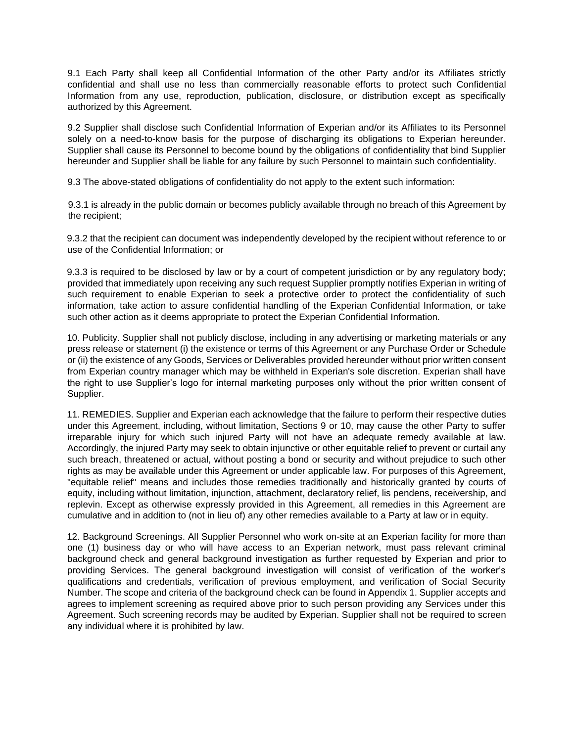9.1 Each Party shall keep all Confidential Information of the other Party and/or its Affiliates strictly confidential and shall use no less than commercially reasonable efforts to protect such Confidential Information from any use, reproduction, publication, disclosure, or distribution except as specifically authorized by this Agreement.

9.2 Supplier shall disclose such Confidential Information of Experian and/or its Affiliates to its Personnel solely on a need-to-know basis for the purpose of discharging its obligations to Experian hereunder. Supplier shall cause its Personnel to become bound by the obligations of confidentiality that bind Supplier hereunder and Supplier shall be liable for any failure by such Personnel to maintain such confidentiality.

9.3 The above-stated obligations of confidentiality do not apply to the extent such information:

9.3.1 is already in the public domain or becomes publicly available through no breach of this Agreement by the recipient;

9.3.2 that the recipient can document was independently developed by the recipient without reference to or use of the Confidential Information; or

9.3.3 is required to be disclosed by law or by a court of competent jurisdiction or by any regulatory body; provided that immediately upon receiving any such request Supplier promptly notifies Experian in writing of such requirement to enable Experian to seek a protective order to protect the confidentiality of such information, take action to assure confidential handling of the Experian Confidential Information, or take such other action as it deems appropriate to protect the Experian Confidential Information.

10. Publicity. Supplier shall not publicly disclose, including in any advertising or marketing materials or any press release or statement (i) the existence or terms of this Agreement or any Purchase Order or Schedule or (ii) the existence of any Goods, Services or Deliverables provided hereunder without prior written consent from Experian country manager which may be withheld in Experian's sole discretion. Experian shall have the right to use Supplier's logo for internal marketing purposes only without the prior written consent of Supplier.

11. REMEDIES. Supplier and Experian each acknowledge that the failure to perform their respective duties under this Agreement, including, without limitation, Sections 9 or 10, may cause the other Party to suffer irreparable injury for which such injured Party will not have an adequate remedy available at law. Accordingly, the injured Party may seek to obtain injunctive or other equitable relief to prevent or curtail any such breach, threatened or actual, without posting a bond or security and without prejudice to such other rights as may be available under this Agreement or under applicable law. For purposes of this Agreement, "equitable relief" means and includes those remedies traditionally and historically granted by courts of equity, including without limitation, injunction, attachment, declaratory relief, lis pendens, receivership, and replevin. Except as otherwise expressly provided in this Agreement, all remedies in this Agreement are cumulative and in addition to (not in lieu of) any other remedies available to a Party at law or in equity.

12. Background Screenings. All Supplier Personnel who work on-site at an Experian facility for more than one (1) business day or who will have access to an Experian network, must pass relevant criminal background check and general background investigation as further requested by Experian and prior to providing Services. The general background investigation will consist of verification of the worker's qualifications and credentials, verification of previous employment, and verification of Social Security Number. The scope and criteria of the background check can be found in Appendix 1. Supplier accepts and agrees to implement screening as required above prior to such person providing any Services under this Agreement. Such screening records may be audited by Experian. Supplier shall not be required to screen any individual where it is prohibited by law.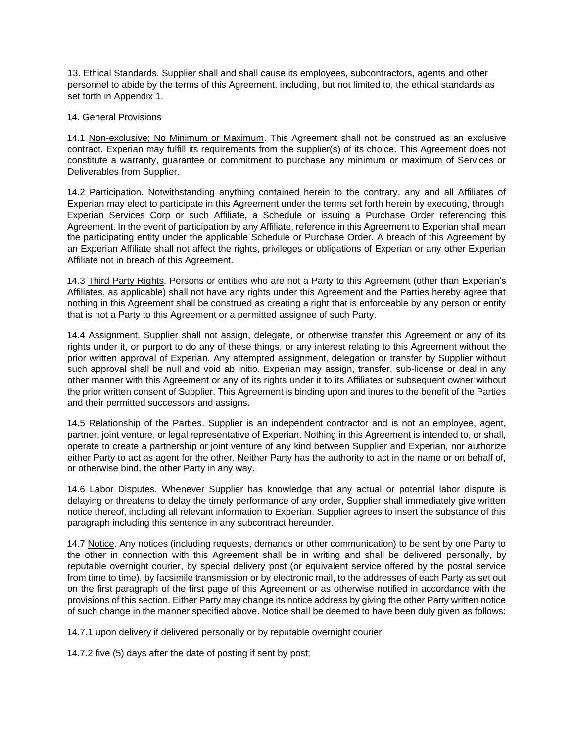13. Ethical Standards. Supplier shall and shall cause its employees, subcontractors, agents and other personnel to abide by the terms of this Agreement, including, but not limited to, the ethical standards as set forth in Appendix 1.

#### 14. General Provisions

14.1 Non-exclusive; No Minimum or Maximum. This Agreement shall not be construed as an exclusive contract. Experian may fulfill its requirements from the supplier(s) of its choice. This Agreement does not constitute a warranty, guarantee or commitment to purchase any minimum or maximum of Services or Deliverables from Supplier.

14.2 Participation. Notwithstanding anything contained herein to the contrary, any and all Affiliates of Experian may elect to participate in this Agreement under the terms set forth herein by executing, through Experian Services Corp or such Affiliate, a Schedule or issuing a Purchase Order referencing this Agreement. In the event of participation by any Affiliate, reference in this Agreement to Experian shall mean the participating entity under the applicable Schedule or Purchase Order. A breach of this Agreement by an Experian Affiliate shall not affect the rights, privileges or obligations of Experian or any other Experian Affiliate not in breach of this Agreement.

14.3 Third Party Rights. Persons or entities who are not a Party to this Agreement (other than Experian's Affiliates, as applicable) shall not have any rights under this Agreement and the Parties hereby agree that nothing in this Agreement shall be construed as creating a right that is enforceable by any person or entity that is not a Party to this Agreement or a permitted assignee of such Party.

14.4 Assignment. Supplier shall not assign, delegate, or otherwise transfer this Agreement or any of its rights under it, or purport to do any of these things, or any interest relating to this Agreement without the prior written approval of Experian. Any attempted assignment, delegation or transfer by Supplier without such approval shall be null and void ab initio. Experian may assign, transfer, sub-license or deal in any other manner with this Agreement or any of its rights under it to its Affiliates or subsequent owner without the prior written consent of Supplier. This Agreement is binding upon and inures to the benefit of the Parties and their permitted successors and assigns.

14.5 Relationship of the Parties. Supplier is an independent contractor and is not an employee, agent, partner, joint venture, or legal representative of Experian. Nothing in this Agreement is intended to, or shall, operate to create a partnership or joint venture of any kind between Supplier and Experian, nor authorize either Party to act as agent for the other. Neither Party has the authority to act in the name or on behalf of, or otherwise bind, the other Party in any way.

14.6 Labor Disputes. Whenever Supplier has knowledge that any actual or potential labor dispute is delaying or threatens to delay the timely performance of any order, Supplier shall immediately give written notice thereof, including all relevant information to Experian. Supplier agrees to insert the substance of this paragraph including this sentence in any subcontract hereunder.

14.7 Notice. Any notices (including requests, demands or other communication) to be sent by one Party to the other in connection with this Agreement shall be in writing and shall be delivered personally, by reputable overnight courier, by special delivery post (or equivalent service offered by the postal service from time to time), by facsimile transmission or by electronic mail, to the addresses of each Party as set out on the first paragraph of the first page of this Agreement or as otherwise notified in accordance with the provisions of this section. Either Party may change its notice address by giving the other Party written notice of such change in the manner specified above. Notice shall be deemed to have been duly given as follows:

14.7.1 upon delivery if delivered personally or by reputable overnight courier;

14.7.2 five (5) days after the date of posting if sent by post;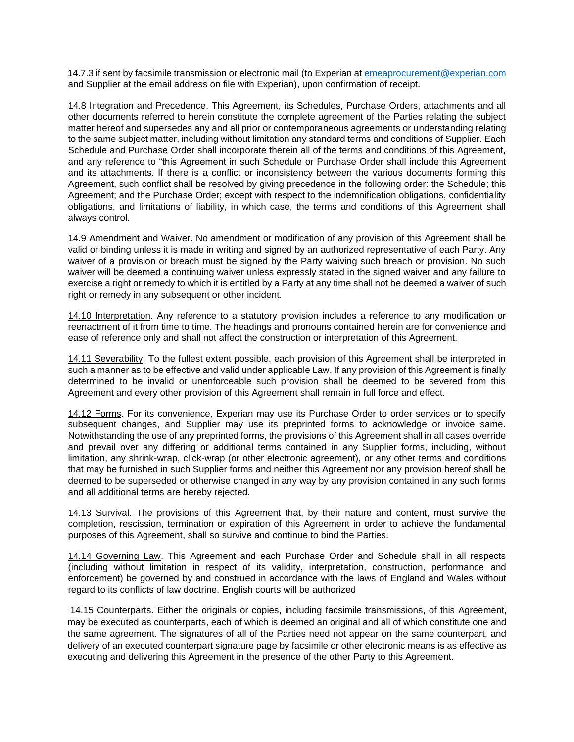14.7.3 if sent by facsimile transmission or electronic mail (to Experian at emeaprocurement@experian.com and Supplier at the email address on file with Experian), upon confirmation of receipt.

14.8 Integration and Precedence. This Agreement, its Schedules, Purchase Orders, attachments and all other documents referred to herein constitute the complete agreement of the Parties relating the subject matter hereof and supersedes any and all prior or contemporaneous agreements or understanding relating to the same subject matter, including without limitation any standard terms and conditions of Supplier. Each Schedule and Purchase Order shall incorporate therein all of the terms and conditions of this Agreement, and any reference to "this Agreement in such Schedule or Purchase Order shall include this Agreement and its attachments. If there is a conflict or inconsistency between the various documents forming this Agreement, such conflict shall be resolved by giving precedence in the following order: the Schedule; this Agreement; and the Purchase Order; except with respect to the indemnification obligations, confidentiality obligations, and limitations of liability, in which case, the terms and conditions of this Agreement shall always control.

14.9 Amendment and Waiver. No amendment or modification of any provision of this Agreement shall be valid or binding unless it is made in writing and signed by an authorized representative of each Party. Any waiver of a provision or breach must be signed by the Party waiving such breach or provision. No such waiver will be deemed a continuing waiver unless expressly stated in the signed waiver and any failure to exercise a right or remedy to which it is entitled by a Party at any time shall not be deemed a waiver of such right or remedy in any subsequent or other incident.

14.10 Interpretation. Any reference to a statutory provision includes a reference to any modification or reenactment of it from time to time. The headings and pronouns contained herein are for convenience and ease of reference only and shall not affect the construction or interpretation of this Agreement.

14.11 Severability. To the fullest extent possible, each provision of this Agreement shall be interpreted in such a manner as to be effective and valid under applicable Law. If any provision of this Agreement is finally determined to be invalid or unenforceable such provision shall be deemed to be severed from this Agreement and every other provision of this Agreement shall remain in full force and effect.

14.12 Forms. For its convenience, Experian may use its Purchase Order to order services or to specify subsequent changes, and Supplier may use its preprinted forms to acknowledge or invoice same. Notwithstanding the use of any preprinted forms, the provisions of this Agreement shall in all cases override and prevail over any differing or additional terms contained in any Supplier forms, including, without limitation, any shrink-wrap, click-wrap (or other electronic agreement), or any other terms and conditions that may be furnished in such Supplier forms and neither this Agreement nor any provision hereof shall be deemed to be superseded or otherwise changed in any way by any provision contained in any such forms and all additional terms are hereby rejected.

14.13 Survival. The provisions of this Agreement that, by their nature and content, must survive the completion, rescission, termination or expiration of this Agreement in order to achieve the fundamental purposes of this Agreement, shall so survive and continue to bind the Parties.

14.14 Governing Law. This Agreement and each Purchase Order and Schedule shall in all respects (including without limitation in respect of its validity, interpretation, construction, performance and enforcement) be governed by and construed in accordance with the laws of England and Wales without regard to its conflicts of law doctrine. English courts will be authorized

14.15 Counterparts. Either the originals or copies, including facsimile transmissions, of this Agreement, may be executed as counterparts, each of which is deemed an original and all of which constitute one and the same agreement. The signatures of all of the Parties need not appear on the same counterpart, and delivery of an executed counterpart signature page by facsimile or other electronic means is as effective as executing and delivering this Agreement in the presence of the other Party to this Agreement.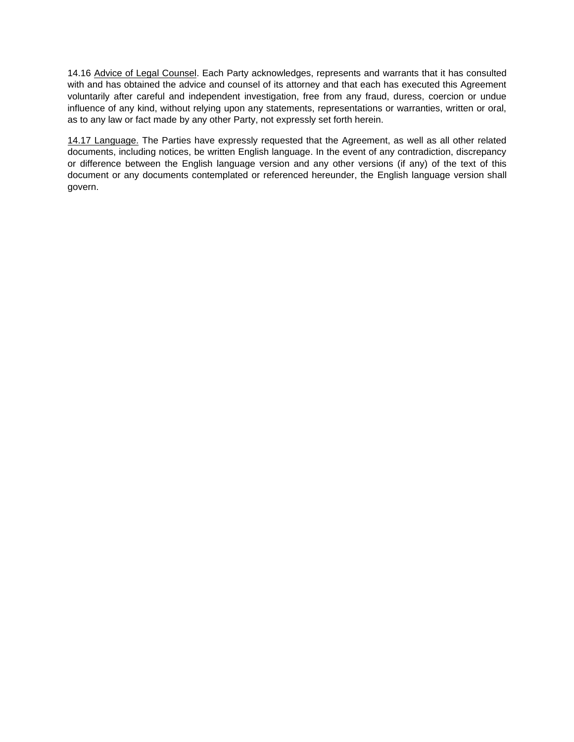14.16 Advice of Legal Counsel. Each Party acknowledges, represents and warrants that it has consulted with and has obtained the advice and counsel of its attorney and that each has executed this Agreement voluntarily after careful and independent investigation, free from any fraud, duress, coercion or undue influence of any kind, without relying upon any statements, representations or warranties, written or oral, as to any law or fact made by any other Party, not expressly set forth herein.

14.17 Language. The Parties have expressly requested that the Agreement, as well as all other related documents, including notices, be written English language. In the event of any contradiction, discrepancy or difference between the English language version and any other versions (if any) of the text of this document or any documents contemplated or referenced hereunder, the English language version shall govern.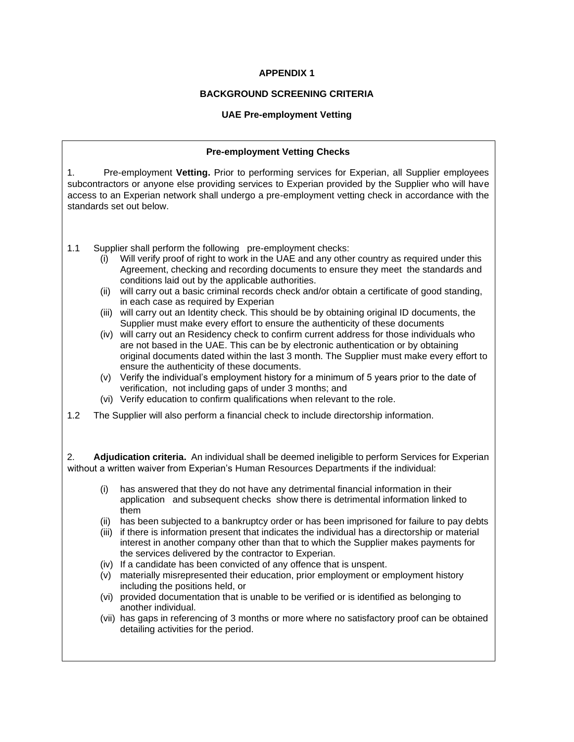### **APPENDIX 1**

## **BACKGROUND SCREENING CRITERIA**

#### **UAE Pre-employment Vetting**

# **Pre-employment Vetting Checks** 1. Pre-employment **Vetting.** Prior to performing services for Experian, all Supplier employees subcontractors or anyone else providing services to Experian provided by the Supplier who will have access to an Experian network shall undergo a pre-employment vetting check in accordance with the standards set out below. 1.1 Supplier shall perform the following pre-employment checks: (i) Will verify proof of right to work in the UAE and any other country as required under this Agreement, checking and recording documents to ensure they meet the standards and conditions laid out by the applicable authorities. (ii) will carry out a basic criminal records check and/or obtain a certificate of good standing, in each case as required by Experian (iii) will carry out an Identity check. This should be by obtaining original ID documents, the Supplier must make every effort to ensure the authenticity of these documents (iv) will carry out an Residency check to confirm current address for those individuals who are not based in the UAE. This can be by electronic authentication or by obtaining original documents dated within the last 3 month. The Supplier must make every effort to ensure the authenticity of these documents. (v) Verify the individual's employment history for a minimum of 5 years prior to the date of verification, not including gaps of under 3 months; and (vi) Verify education to confirm qualifications when relevant to the role. 1.2 The Supplier will also perform a financial check to include directorship information. 2. **Adjudication criteria.** An individual shall be deemed ineligible to perform Services for Experian without a written waiver from Experian's Human Resources Departments if the individual: (i) has answered that they do not have any detrimental financial information in their application and subsequent checks show there is detrimental information linked to them (ii) has been subjected to a bankruptcy order or has been imprisoned for failure to pay debts (iii) if there is information present that indicates the individual has a directorship or material interest in another company other than that to which the Supplier makes payments for the services delivered by the contractor to Experian. (iv) If a candidate has been convicted of any offence that is unspent. (v) materially misrepresented their education, prior employment or employment history including the positions held, or (vi) provided documentation that is unable to be verified or is identified as belonging to another individual. (vii) has gaps in referencing of 3 months or more where no satisfactory proof can be obtained detailing activities for the period.